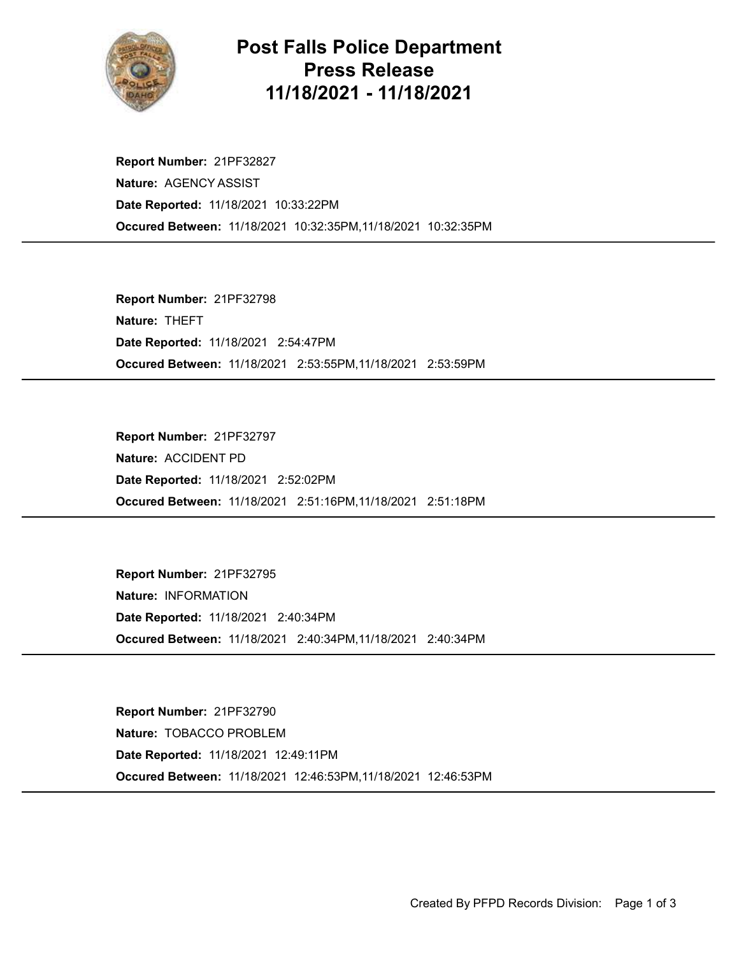

## Post Falls Police Department Press Release 11/18/2021 - 11/18/2021

Occured Between: 11/18/2021 10:32:35PM,11/18/2021 10:32:35PM Report Number: 21PF32827 Nature: AGENCY ASSIST Date Reported: 11/18/2021 10:33:22PM

Occured Between: 11/18/2021 2:53:55PM,11/18/2021 2:53:59PM Report Number: 21PF32798 Nature: THEFT Date Reported: 11/18/2021 2:54:47PM

Occured Between: 11/18/2021 2:51:16PM,11/18/2021 2:51:18PM Report Number: 21PF32797 Nature: ACCIDENT PD Date Reported: 11/18/2021 2:52:02PM

Occured Between: 11/18/2021 2:40:34PM,11/18/2021 2:40:34PM Report Number: 21PF32795 Nature: INFORMATION Date Reported: 11/18/2021 2:40:34PM

Occured Between: 11/18/2021 12:46:53PM,11/18/2021 12:46:53PM Report Number: 21PF32790 Nature: TOBACCO PROBLEM Date Reported: 11/18/2021 12:49:11PM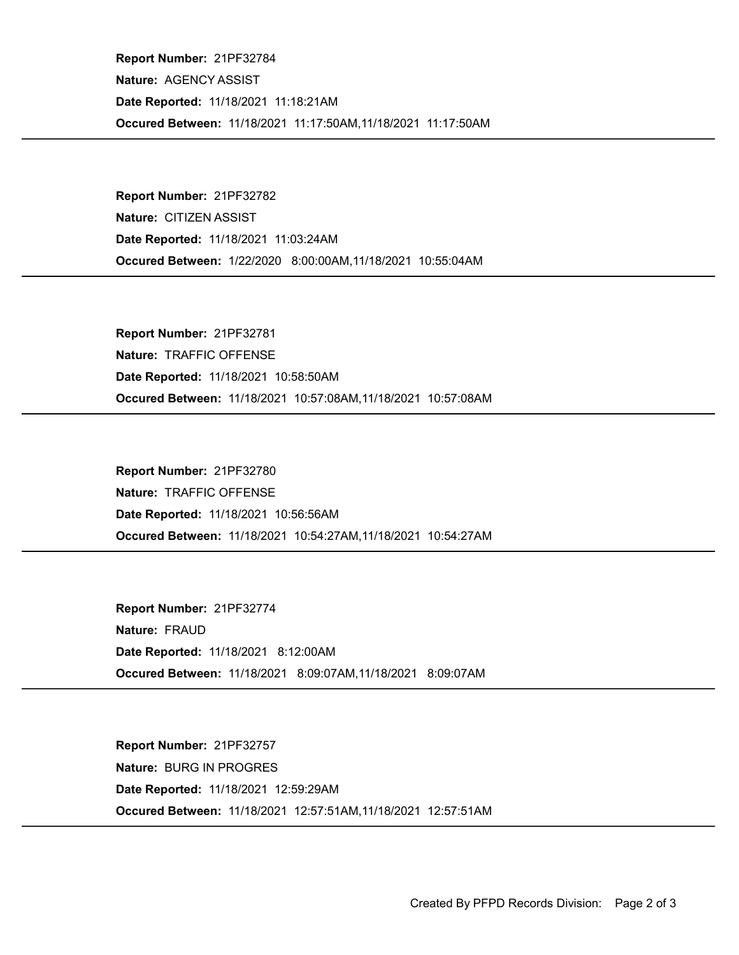Occured Between: 11/18/2021 11:17:50AM,11/18/2021 11:17:50AM Report Number: 21PF32784 Nature: AGENCY ASSIST Date Reported: 11/18/2021 11:18:21AM

Occured Between: 1/22/2020 8:00:00AM,11/18/2021 10:55:04AM Report Number: 21PF32782 Nature: CITIZEN ASSIST Date Reported: 11/18/2021 11:03:24AM

Occured Between: 11/18/2021 10:57:08AM,11/18/2021 10:57:08AM Report Number: 21PF32781 Nature: TRAFFIC OFFENSE Date Reported: 11/18/2021 10:58:50AM

Occured Between: 11/18/2021 10:54:27AM,11/18/2021 10:54:27AM Report Number: 21PF32780 Nature: TRAFFIC OFFENSE Date Reported: 11/18/2021 10:56:56AM

Occured Between: 11/18/2021 8:09:07AM,11/18/2021 8:09:07AM Report Number: 21PF32774 Nature: FRAUD Date Reported: 11/18/2021 8:12:00AM

Occured Between: 11/18/2021 12:57:51AM,11/18/2021 12:57:51AM Report Number: 21PF32757 Nature: BURG IN PROGRES Date Reported: 11/18/2021 12:59:29AM